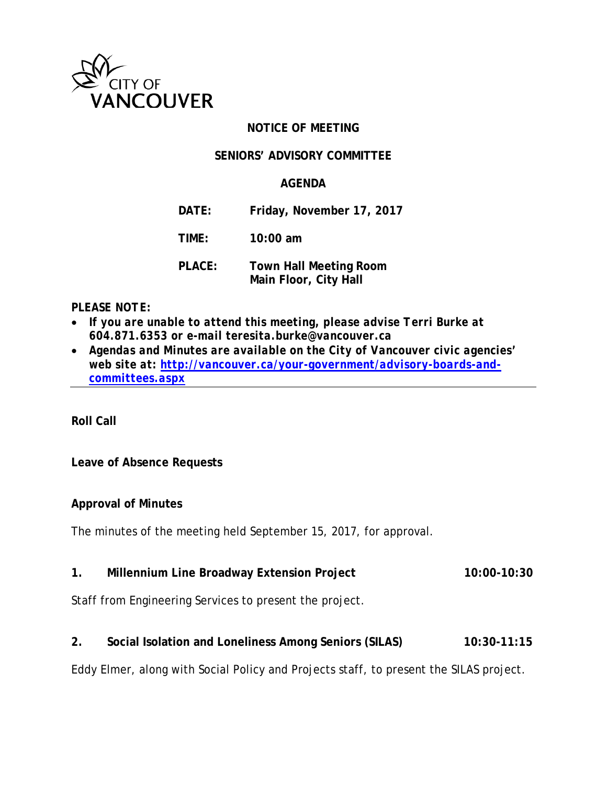

# **NOTICE OF MEETING**

### **SENIORS' ADVISORY COMMITTEE**

# **AGENDA**

- **DATE: Friday, November 17, 2017**
- **TIME: 10:00 am**
- **PLACE: Town Hall Meeting Room Main Floor, City Hall**

### *PLEASE NOTE:*

- *If you are unable to attend this meeting, please advise Terri Burke at 604.871.6353 or e-mail teresita.burke@vancouver.ca*
- *Agendas and Minutes are available on the City of Vancouver civic agencies' web site at: [http://vancouver.ca/your-government/advisory-boards-and](http://vancouver.ca/your-government/advisory-boards-and-committees.aspx)[committees.aspx](http://vancouver.ca/your-government/advisory-boards-and-committees.aspx)*

**Roll Call**

### **Leave of Absence Requests**

### **Approval of Minutes**

The minutes of the meeting held September 15, 2017, for approval.

1. Millennium Line Broadway Extension Project 10:00-10:30

Staff from Engineering Services to present the project.

**2. Social Isolation and Loneliness Among Seniors (SILAS) 10:30-11:15**

Eddy Elmer, along with Social Policy and Projects staff, to present the SILAS project.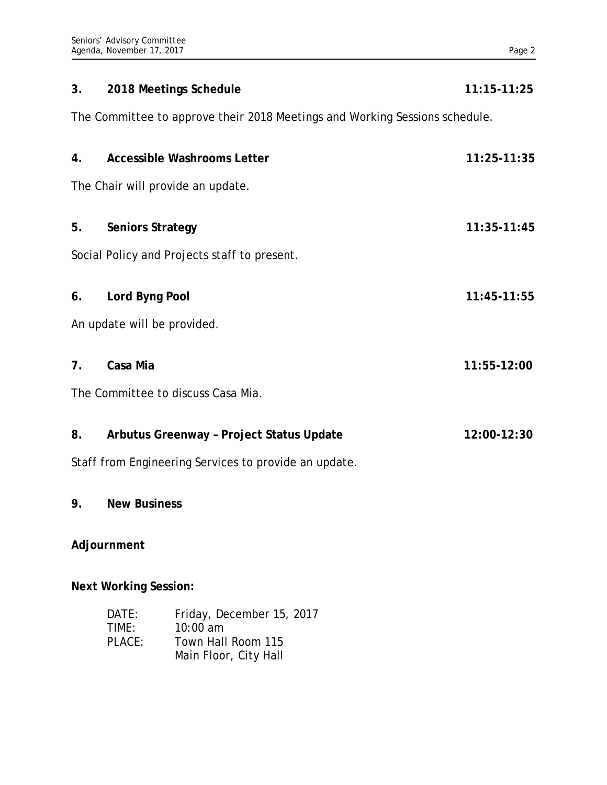| 3.                                                                          | 2018 Meetings Schedule                                  | $11:15-11:25$                                                                        |  |  |
|-----------------------------------------------------------------------------|---------------------------------------------------------|--------------------------------------------------------------------------------------|--|--|
| The Committee to approve their 2018 Meetings and Working Sessions schedule. |                                                         |                                                                                      |  |  |
| 4.                                                                          | <b>Accessible Washrooms Letter</b>                      | 11:25-11:35                                                                          |  |  |
| The Chair will provide an update.                                           |                                                         |                                                                                      |  |  |
| 5.                                                                          | <b>Seniors Strategy</b><br>11:35-11:45                  |                                                                                      |  |  |
| Social Policy and Projects staff to present.                                |                                                         |                                                                                      |  |  |
| 6.                                                                          | Lord Byng Pool                                          | 11:45-11:55                                                                          |  |  |
| An update will be provided.                                                 |                                                         |                                                                                      |  |  |
| 7 <sub>1</sub>                                                              | Casa Mia<br>11:55-12:00                                 |                                                                                      |  |  |
| The Committee to discuss Casa Mia.                                          |                                                         |                                                                                      |  |  |
| 8.                                                                          | Arbutus Greenway - Project Status Update<br>12:00-12:30 |                                                                                      |  |  |
| Staff from Engineering Services to provide an update.                       |                                                         |                                                                                      |  |  |
| 9.                                                                          | <b>New Business</b>                                     |                                                                                      |  |  |
| Adjournment                                                                 |                                                         |                                                                                      |  |  |
| <b>Next Working Session:</b>                                                |                                                         |                                                                                      |  |  |
|                                                                             | DATE:<br>TIME:<br>PLACE:                                | Friday, December 15, 2017<br>10:00 am<br>Town Hall Room 115<br>Main Floor, City Hall |  |  |